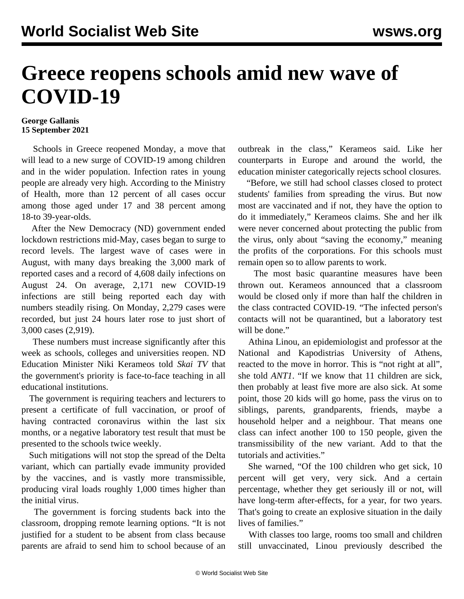## **Greece reopens schools amid new wave of COVID-19**

## **George Gallanis 15 September 2021**

 Schools in Greece reopened Monday, a move that will lead to a new surge of COVID-19 among children and in the wider population. Infection rates in young people are already very high. According to the Ministry of Health, more than 12 percent of all cases occur among those aged under 17 and 38 percent among 18-to 39-year-olds.

 After the New Democracy (ND) government ended lockdown restrictions mid-May, cases began to surge to record levels. The largest wave of cases were in August, with many days breaking the 3,000 mark of reported cases and a record of 4,608 daily infections on August 24. On average, 2,171 new COVID-19 infections are still being reported each day with numbers steadily rising. On Monday, 2,279 cases were recorded, but just 24 hours later rose to just short of 3,000 cases (2,919).

 These numbers must increase significantly after this week as schools, colleges and universities reopen. ND Education Minister Niki Kerameos told *Skai TV* that the government's priority is face-to-face teaching in all educational institutions.

 The government is requiring teachers and lecturers to present a certificate of full vaccination, or proof of having contracted coronavirus within the last six months, or a negative laboratory test result that must be presented to the schools twice weekly.

 Such mitigations will not stop the spread of the Delta variant, which can partially evade immunity provided by the vaccines, and is vastly more transmissible, producing viral loads roughly 1,000 times higher than the initial virus.

 The government is forcing students back into the classroom, dropping remote learning options. "It is not justified for a student to be absent from class because parents are afraid to send him to school because of an outbreak in the class," Kerameos said. Like her counterparts in Europe and around the world, the education minister categorically rejects school closures.

 "Before, we still had school classes closed to protect students' families from spreading the virus. But now most are vaccinated and if not, they have the option to do it immediately," Kerameos claims. She and her ilk were never concerned about protecting the public from the virus, only about "saving the economy," meaning the profits of the corporations. For this schools must remain open so to allow parents to work.

 The most basic quarantine measures have been thrown out. Kerameos announced that a classroom would be closed only if more than half the children in the class contracted COVID-19. "The infected person's contacts will not be quarantined, but a laboratory test will be done."

 Athina Linou, an epidemiologist and professor at the National and Kapodistrias University of Athens, reacted to the move in horror. This is "not right at all", she told *ANT1*. "If we know that 11 children are sick, then probably at least five more are also sick. At some point, those 20 kids will go home, pass the virus on to siblings, parents, grandparents, friends, maybe a household helper and a neighbour. That means one class can infect another 100 to 150 people, given the transmissibility of the new variant. Add to that the tutorials and activities."

 She warned, "Of the 100 children who get sick, 10 percent will get very, very sick. And a certain percentage, whether they get seriously ill or not, will have long-term after-effects, for a year, for two years. That's going to create an explosive situation in the daily lives of families."

 With classes too large, rooms too small and children still unvaccinated, Linou previously described the